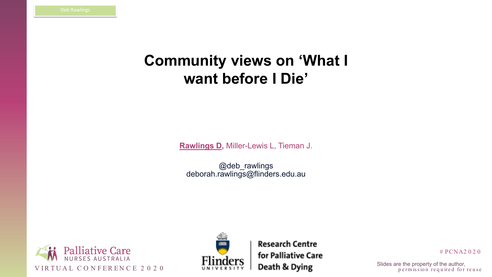



### # PCNA2 0 2 0

p e rm is sion required for reuse

# **Community views on 'What I want before I Die'**

**Rawlings D,** Miller-Lewis L, Tieman J.

@deb\_rawlings deborah.rawlings@flinders.edu.au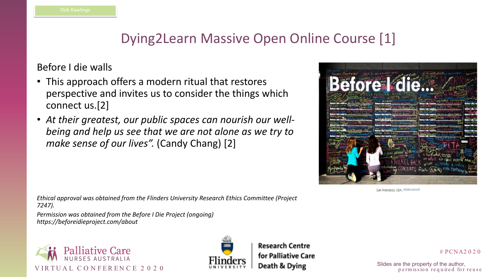





San Francisco, USA. (image source)

### # PCNA2 0 2 0

p e rm is sion required for reuse

# Dying2Learn Massive Open Online Course [1]

## Before I die walls

- This approach offers a modern ritual that restores perspective and invites us to consider the things which connect us.[2]
- *At their greatest, our public spaces can nourish our wellbeing and help us see that we are not alone as we try to make sense of our lives".* (Candy Chang) [2]

*Ethical approval was obtained from the Flinders University Research Ethics Committee (Project 7247).* 

*Permission was obtained from the Before I Die Project (ongoing) https://beforeidieproject.com/about*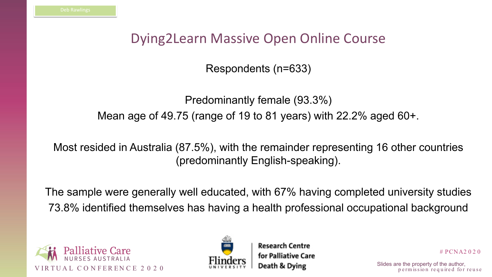



- 
- 

# PCNA2 0 2 0

p e rm is sion required for reuse

# Dying2Learn Massive Open Online Course

Respondents (n=633)

Predominantly female (93.3%) Mean age of 49.75 (range of 19 to 81 years) with 22.2% aged 60+.

Most resided in Australia (87.5%), with the remainder representing 16 other countries (predominantly English-speaking).

The sample were generally well educated, with 67% having completed university studies 73.8% identified themselves has having a health professional occupational background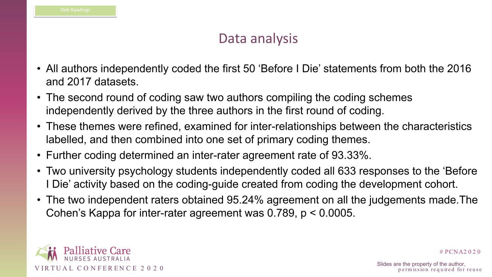

# PCNA2 0 2 0

p e rm is sion required for reuse

# Data analysis

- All authors independently coded the first 50 'Before I Die' statements from both the 2016 and 2017 datasets.
- The second round of coding saw two authors compiling the coding schemes independently derived by the three authors in the first round of coding.
- These themes were refined, examined for inter-relationships between the characteristics labelled, and then combined into one set of primary coding themes.
- Further coding determined an inter-rater agreement rate of 93.33%.
- Two university psychology students independently coded all 633 responses to the 'Before I Die' activity based on the coding-guide created from coding the development cohort.
- The two independent raters obtained 95.24% agreement on all the judgements made.The Cohen's Kappa for inter-rater agreement was 0.789, p < 0.0005.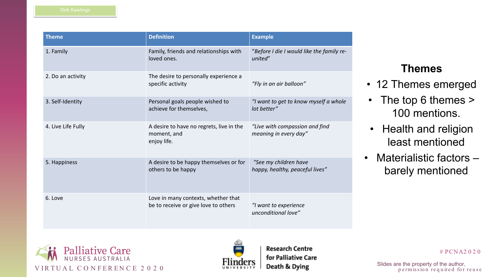



### # PCNA2 0 2 0

p e rm is sion required for reuse

## **Themes**

- 12 Themes emerged
- The top 6 themes > 100 mentions.
- Health and religion least mentioned
- Materialistic factors barely mentioned



| <b>Theme</b>       | <b>Definition</b>                                                           | <b>Example</b>                                  |
|--------------------|-----------------------------------------------------------------------------|-------------------------------------------------|
| 1. Family          | Family, friends and relationships with<br>loved ones.                       | "Before I die I would lik<br>united"            |
| 2. Do an activity  | The desire to personally experience a<br>specific activity                  | "Fly in an air balloon"                         |
| 3. Self-Identity   | Personal goals people wished to<br>achieve for themselves,                  | "I want to get to know<br>lot better"           |
| 4. Live Life Fully | A desire to have no regrets, live in the<br>moment, and<br>enjoy life.      | "Live with compassion<br>meaning in every day"  |
| 5. Happiness       | A desire to be happy themselves or for<br>others to be happy                | "See my children have<br>happy, healthy, peacef |
| 6. Love            | Love in many contexts, whether that<br>be to receive or give love to others | "I want to experience<br>unconditional love"    |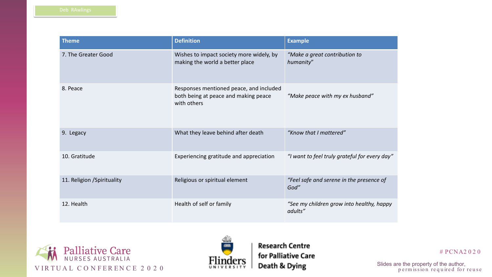



### # PCNA2 0 2 0

*"Make a great contribution to*

*"Make peace with my ex husband"*

hat I mattered"

to feel truly grateful for every day"

fe and serene in the presence of

 $12$  children grow into healthy, happy

| <b>Theme</b>                | <b>Definition</b>                                                                              | <b>Example</b>         |
|-----------------------------|------------------------------------------------------------------------------------------------|------------------------|
| 7. The Greater Good         | Wishes to impact society more widely, by<br>making the world a better place                    | "Make a g<br>humanity" |
| 8. Peace                    | Responses mentioned peace, and included<br>both being at peace and making peace<br>with others | "Make pec              |
| 9. Legacy                   | What they leave behind after death                                                             | "Know tha              |
| 10. Gratitude               | Experiencing gratitude and appreciation                                                        | "I want to             |
| 11. Religion / Spirituality | Religious or spiritual element                                                                 | "Feel safe<br>God"     |
| 12. Health                  | Health of self or family                                                                       | "See my ch<br>adults"  |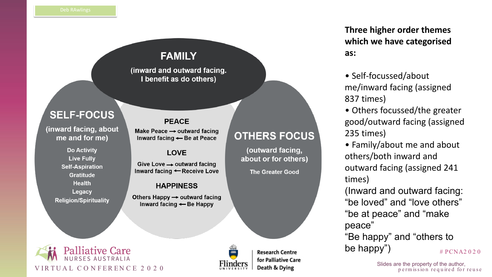



**Research Centre** 

## **FAMILY**

(inward and outward facing. I benefit as do others)

## **SELF-FOCUS**

(inward facing, about me and for me)

> **Do Activity Live Fully Self-Aspiration Gratitude Health** Legacy **Religion/Spirituality**

### **PEACE**

Make Peace  $\rightarrow$  outward facing Inward facing - Be at Peace

### **LOVE**

Give Love  $\rightarrow$  outward facing Inward facing ← Receive Love

### **HAPPINESS**

Others Happy  $\rightarrow$  outward facing Inward facing  $\leftarrow$  Be Happy

## **OTHERS FOCUS**

(outward facing, about or for others)

**The Greater Good** 

## **Three higher order themes which we have categorised as:**

• Self -focussed/about me/inward facing (assigned 837 times)

• Others focussed/the greater good/outward facing (assigned 235 times)

# PCNA2 0 2 0 "Be happy" and "others to be happy")

p e rm is sion required for reuse

• Family/about me and about others/both inward and outward facing (assigned 241 times)

(Inward and outward facing: "be loved" and "love others"

"be at peace" and "make peace"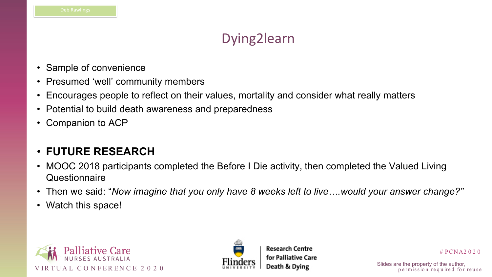



# PCNA2 0 2 0

p e rm is sion required for reuse

# Dying2learn

- Sample of convenience
- Presumed 'well' community members
- Encourages people to reflect on their values, mortality and consider what really matters
- Potential to build death awareness and preparedness
- Companion to ACP

- MOOC 2018 participants completed the Before I Die activity, then completed the Valued Living **Questionnaire**
- Then we said: "*Now imagine that you only have 8 weeks left to live….would your answer change?"*
- Watch this space!

## • **FUTURE RESEARCH**